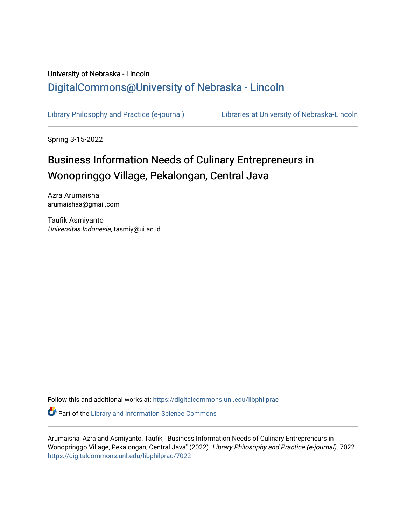## University of Nebraska - Lincoln [DigitalCommons@University of Nebraska - Lincoln](https://digitalcommons.unl.edu/)

[Library Philosophy and Practice \(e-journal\)](https://digitalcommons.unl.edu/libphilprac) [Libraries at University of Nebraska-Lincoln](https://digitalcommons.unl.edu/libraries) 

Spring 3-15-2022

# Business Information Needs of Culinary Entrepreneurs in Wonopringgo Village, Pekalongan, Central Java

Azra Arumaisha arumaishaa@gmail.com

Taufik Asmiyanto Universitas Indonesia, tasmiy@ui.ac.id

Follow this and additional works at: [https://digitalcommons.unl.edu/libphilprac](https://digitalcommons.unl.edu/libphilprac?utm_source=digitalcommons.unl.edu%2Flibphilprac%2F7022&utm_medium=PDF&utm_campaign=PDFCoverPages) 

**C** Part of the Library and Information Science Commons

Arumaisha, Azra and Asmiyanto, Taufik, "Business Information Needs of Culinary Entrepreneurs in Wonopringgo Village, Pekalongan, Central Java" (2022). Library Philosophy and Practice (e-journal). 7022. [https://digitalcommons.unl.edu/libphilprac/7022](https://digitalcommons.unl.edu/libphilprac/7022?utm_source=digitalcommons.unl.edu%2Flibphilprac%2F7022&utm_medium=PDF&utm_campaign=PDFCoverPages)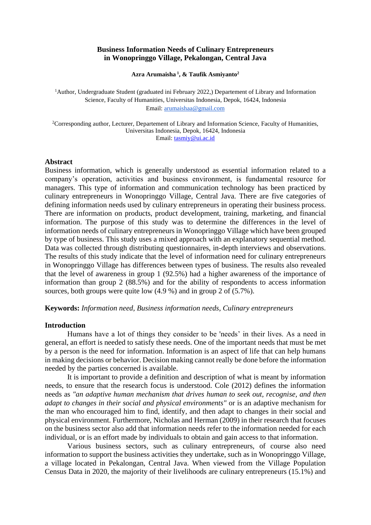#### **Business Information Needs of Culinary Entrepreneurs in Wonopringgo Village, Pekalongan, Central Java**

**Azra Arumaisha <sup>1</sup> , & Taufik Asmiyanto<sup>2</sup>**

<sup>1</sup>Author, Undergraduate Student (graduated ini February 2022,) Departement of Library and Information Science, Faculty of Humanities, Universitas Indonesia, Depok, 16424, Indonesia Email[: arumaishaa@gmail.com](mailto:arumaishaa@gmail.com)

<sup>2</sup>Corresponding author, Lecturer, Departement of Library and Information Science, Faculty of Humanities, Universitas Indonesia, Depok, 16424, Indonesia Email[: tasmiy@ui.ac.id](mailto:tasmiy@ui.ac.id)

#### **Abstract**

Business information, which is generally understood as essential information related to a company's operation, activities and business environment, is fundamental resource for managers. This type of information and communication technology has been practiced by culinary entrepreneurs in Wonopringgo Village, Central Java. There are five categories of defining information needs used by culinary entrepreneurs in operating their business process. There are information on products, product development, training, marketing, and financial information. The purpose of this study was to determine the differences in the level of information needs of culinary entrepreneurs in Wonopringgo Village which have been grouped by type of business. This study uses a mixed approach with an explanatory sequential method. Data was collected through distributing questionnaires, in-depth interviews and observations. The results of this study indicate that the level of information need for culinary entrepreneurs in Wonopringgo Village has differences between types of business. The results also revealed that the level of awareness in group 1 (92.5%) had a higher awareness of the importance of information than group 2 (88.5%) and for the ability of respondents to access information sources, both groups were quite low (4.9 %) and in group 2 of (5.7%).

**Keywords:** *Information need, Business information needs, Culinary entrepreneurs*

#### **Introduction**

Humans have a lot of things they consider to be 'needs' in their lives. As a need in general, an effort is needed to satisfy these needs. One of the important needs that must be met by a person is the need for information. Information is an aspect of life that can help humans in making decisions or behavior. Decision making cannot really be done before the information needed by the parties concerned is available.

It is important to provide a definition and description of what is meant by information needs, to ensure that the research focus is understood. Cole (2012) defines the information needs as *"an adaptive human mechanism that drives human to seek out, recognise, and then adapt to changes in their social and physical environments"* or is an adaptive mechanism for the man who encouraged him to find, identify, and then adapt to changes in their social and physical environment. Furthermore, Nicholas and Herman (2009) in their research that focuses on the business sector also add that information needs refer to the information needed for each individual, or is an effort made by individuals to obtain and gain access to that information.

Various business sectors, such as culinary entrepreneurs, of course also need information to support the business activities they undertake, such as in Wonopringgo Village, a village located in Pekalongan, Central Java. When viewed from the Village Population Census Data in 2020, the majority of their livelihoods are culinary entrepreneurs (15.1%) and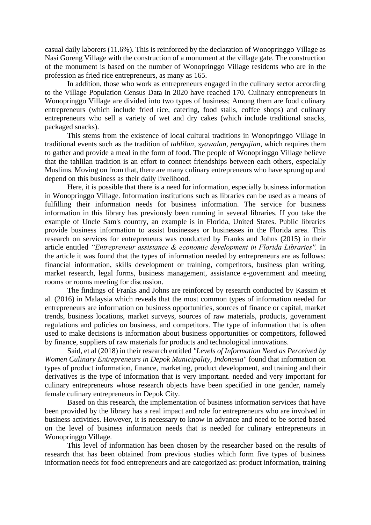casual daily laborers (11.6%). This is reinforced by the declaration of Wonopringgo Village as Nasi Goreng Village with the construction of a monument at the village gate. The construction of the monument is based on the number of Wonopringgo Village residents who are in the profession as fried rice entrepreneurs, as many as 165.

In addition, those who work as entrepreneurs engaged in the culinary sector according to the Village Population Census Data in 2020 have reached 170. Culinary entrepreneurs in Wonopringgo Village are divided into two types of business: Among them are food culinary entrepreneurs (which include fried rice, catering, food stalls, coffee shops) and culinary entrepreneurs who sell a variety of wet and dry cakes (which include traditional snacks, packaged snacks).

This stems from the existence of local cultural traditions in Wonopringgo Village in traditional events such as the tradition of *tahlilan*, *syawalan*, *pengajian*, which requires them to gather and provide a meal in the form of food. The people of Wonopringgo Village believe that the tahlilan tradition is an effort to connect friendships between each others, especially Muslims. Moving on from that, there are many culinary entrepreneurs who have sprung up and depend on this business as their daily livelihood.

Here, it is possible that there is a need for information, especially business information in Wonopringgo Village. Information institutions such as libraries can be used as a means of fulfilling their information needs for business information. The service for business information in this library has previously been running in several libraries. If you take the example of Uncle Sam's country, an example is in Florida, United States. Public libraries provide business information to assist businesses or businesses in the Florida area. This research on services for entrepreneurs was conducted by Franks and Johns (2015) in their article entitled *"Entrepreneur assistance & economic development in Florida Libraries''.* In the article it was found that the types of information needed by entrepreneurs are as follows: financial information, skills development or training, competitors, business plan writing, market research, legal forms, business management, assistance e-government and meeting rooms or rooms meeting for discussion.

The findings of Franks and Johns are reinforced by research conducted by Kassim et al. (2016) in Malaysia which reveals that the most common types of information needed for entrepreneurs are information on business opportunities, sources of finance or capital, market trends, business locations, market surveys, sources of raw materials, products, government regulations and policies on business, and competitors. The type of information that is often used to make decisions is information about business opportunities or competitors, followed by finance, suppliers of raw materials for products and technological innovations.

Said, et al (2018) in their research entitled *"Levels of Information Need as Perceived by Women Culinary Entrepreneurs in Depok Municipality, Indonesia"* found that information on types of product information, finance, marketing, product development, and training and their derivatives is the type of information that is very important. needed and very important for culinary entrepreneurs whose research objects have been specified in one gender, namely female culinary entrepreneurs in Depok City.

Based on this research, the implementation of business information services that have been provided by the library has a real impact and role for entrepreneurs who are involved in business activities. However, it is necessary to know in advance and need to be sorted based on the level of business information needs that is needed for culinary entrepreneurs in Wonopringgo Village.

This level of information has been chosen by the researcher based on the results of research that has been obtained from previous studies which form five types of business information needs for food entrepreneurs and are categorized as: product information, training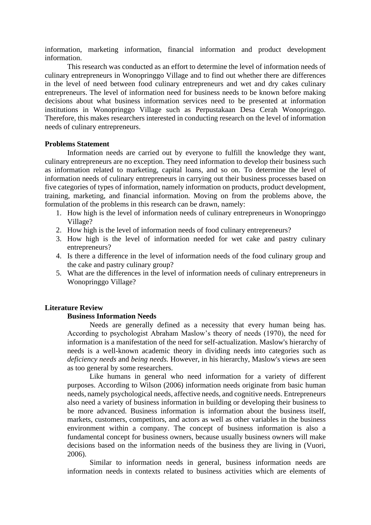information, marketing information, financial information and product development information.

This research was conducted as an effort to determine the level of information needs of culinary entrepreneurs in Wonopringgo Village and to find out whether there are differences in the level of need between food culinary entrepreneurs and wet and dry cakes culinary entrepreneurs. The level of information need for business needs to be known before making decisions about what business information services need to be presented at information institutions in Wonopringgo Village such as Perpustakaan Desa Cerah Wonopringgo. Therefore, this makes researchers interested in conducting research on the level of information needs of culinary entrepreneurs.

#### **Problems Statement**

Information needs are carried out by everyone to fulfill the knowledge they want, culinary entrepreneurs are no exception. They need information to develop their business such as information related to marketing, capital loans, and so on. To determine the level of information needs of culinary entrepreneurs in carrying out their business processes based on five categories of types of information, namely information on products, product development, training, marketing, and financial information. Moving on from the problems above, the formulation of the problems in this research can be drawn, namely:

- 1. How high is the level of information needs of culinary entrepreneurs in Wonopringgo Village?
- 2. How high is the level of information needs of food culinary entrepreneurs?
- 3. How high is the level of information needed for wet cake and pastry culinary entrepreneurs?
- 4. Is there a difference in the level of information needs of the food culinary group and the cake and pastry culinary group?
- 5. What are the differences in the level of information needs of culinary entrepreneurs in Wonopringgo Village?

#### **Literature Review**

#### **Business Information Needs**

Needs are generally defined as a necessity that every human being has. According to psychologist Abraham Maslow's theory of needs (1970), the need for information is a manifestation of the need for self-actualization. Maslow's hierarchy of needs is a well-known academic theory in dividing needs into categories such as *deficiency needs* and *being needs.* However, in his hierarchy, Maslow's views are seen as too general by some researchers.

Like humans in general who need information for a variety of different purposes. According to Wilson (2006) information needs originate from basic human needs, namely psychological needs, affective needs, and cognitive needs. Entrepreneurs also need a variety of business information in building or developing their business to be more advanced. Business information is information about the business itself, markets, customers, competitors, and actors as well as other variables in the business environment within a company. The concept of business information is also a fundamental concept for business owners, because usually business owners will make decisions based on the information needs of the business they are living in (Vuori, 2006).

Similar to information needs in general, business information needs are information needs in contexts related to business activities which are elements of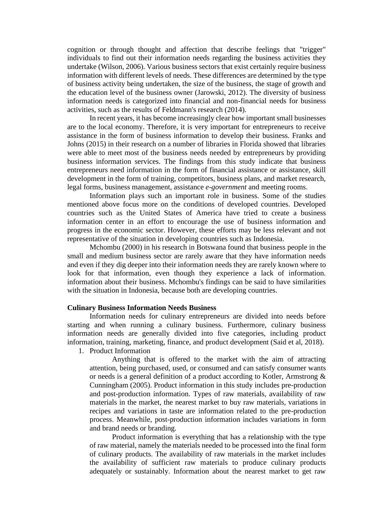cognition or through thought and affection that describe feelings that "trigger" individuals to find out their information needs regarding the business activities they undertake (Wilson, 2006). Various business sectors that exist certainly require business information with different levels of needs. These differences are determined by the type of business activity being undertaken, the size of the business, the stage of growth and the education level of the business owner (Jarowski, 2012). The diversity of business information needs is categorized into financial and non-financial needs for business activities, such as the results of Feldmann's research (2014).

In recent years, it has become increasingly clear how important small businesses are to the local economy. Therefore, it is very important for entrepreneurs to receive assistance in the form of business information to develop their business. Franks and Johns (2015) in their research on a number of libraries in Florida showed that libraries were able to meet most of the business needs needed by entrepreneurs by providing business information services. The findings from this study indicate that business entrepreneurs need information in the form of financial assistance or assistance, skill development in the form of training, competitors, business plans, and market research, legal forms, business management, assistance *e-government* and meeting rooms.

Information plays such an important role in business. Some of the studies mentioned above focus more on the conditions of developed countries. Developed countries such as the United States of America have tried to create a business information center in an effort to encourage the use of business information and progress in the economic sector. However, these efforts may be less relevant and not representative of the situation in developing countries such as Indonesia.

Mchombu (2000) in his research in Botswana found that business people in the small and medium business sector are rarely aware that they have information needs and even if they dig deeper into their information needs they are rarely known where to look for that information, even though they experience a lack of information. information about their business. Mchombu's findings can be said to have similarities with the situation in Indonesia, because both are developing countries.

#### **Culinary Business Information Needs Business**

Information needs for culinary entrepreneurs are divided into needs before starting and when running a culinary business. Furthermore, culinary business information needs are generally divided into five categories, including product information, training, marketing, finance, and product development (Said et al, 2018).

1. Product Information

Anything that is offered to the market with the aim of attracting attention, being purchased, used, or consumed and can satisfy consumer wants or needs is a general definition of a product according to Kotler, Armstrong & Cunningham (2005). Product information in this study includes pre-production and post-production information. Types of raw materials, availability of raw materials in the market, the nearest market to buy raw materials, variations in recipes and variations in taste are information related to the pre-production process. Meanwhile, post-production information includes variations in form and brand needs or branding*.*

Product information is everything that has a relationship with the type of raw material, namely the materials needed to be processed into the final form of culinary products. The availability of raw materials in the market includes the availability of sufficient raw materials to produce culinary products adequately or sustainably. Information about the nearest market to get raw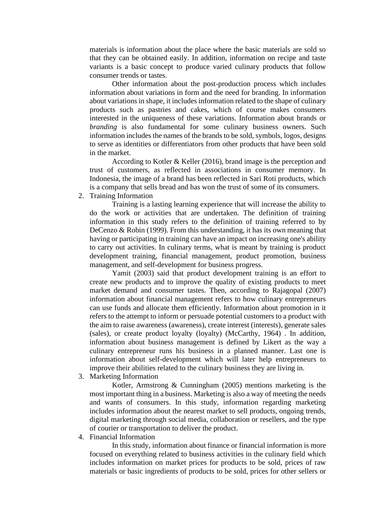materials is information about the place where the basic materials are sold so that they can be obtained easily. In addition, information on recipe and taste variants is a basic concept to produce varied culinary products that follow consumer trends or tastes.

Other information about the post-production process which includes information about variations in form and the need for branding. In information about variations in shape, it includes information related to the shape of culinary products such as pastries and cakes, which of course makes consumers interested in the uniqueness of these variations. Information about brands or *branding* is also fundamental for some culinary business owners. Such information includes the names of the brands to be sold, symbols, logos, designs to serve as identities or differentiators from other products that have been sold in the market.

According to Kotler & Keller (2016), brand image is the perception and trust of customers, as reflected in associations in consumer memory. In Indonesia, the image of a brand has been reflected in Sari Roti products, which is a company that sells bread and has won the trust of some of its consumers.

2. Training Information

Training is a lasting learning experience that will increase the ability to do the work or activities that are undertaken. The definition of training information in this study refers to the definition of training referred to by DeCenzo & Robin (1999). From this understanding, it has its own meaning that having or participating in training can have an impact on increasing one's ability to carry out activities. In culinary terms, what is meant by training is product development training, financial management, product promotion, business management, and self-development for business progress.

Yamit (2003) said that product development training is an effort to create new products and to improve the quality of existing products to meet market demand and consumer tastes. Then, according to Rajagopal (2007) information about financial management refers to how culinary entrepreneurs can use funds and allocate them efficiently. Information about promotion in it refers to the attempt to inform or persuade potential customers to a product with the aim to raise awareness (awareness), create interest (interests), generate sales (sales), or create product loyalty (loyalty) (McCarthy, 1964) . In addition, information about business management is defined by Likert as the way a culinary entrepreneur runs his business in a planned manner. Last one is information about self-development which will later help entrepreneurs to improve their abilities related to the culinary business they are living in.

3. Marketing Information

Kotler, Armstrong & Cunningham (2005) mentions marketing is the most important thing in a business. Marketing is also a way of meeting the needs and wants of consumers. In this study, information regarding marketing includes information about the nearest market to sell products, ongoing trends, digital marketing through social media, collaboration or resellers, and the type of courier or transportation to deliver the product.

4. Financial Information

In this study, information about finance or financial information is more focused on everything related to business activities in the culinary field which includes information on market prices for products to be sold, prices of raw materials or basic ingredients of products to be sold, prices for other sellers or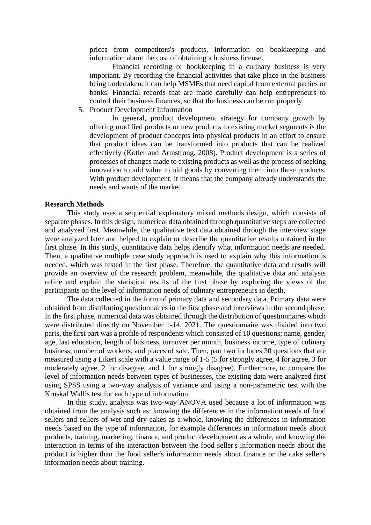prices from competitors's products, information on bookkeeping and information about the cost of obtaining a business license.

Financial recording or bookkeeping in a culinary business is very important. By recording the financial activities that take place in the business being undertaken, it can help MSMEs that need capital from external parties or banks. Financial records that are made carefully can help entrepreneurs to control their business finances, so that the business can be run properly.

5. Product Development Information

In general, product development strategy for company growth by offering modified products or new products to existing market segments is the development of product concepts into physical products in an effort to ensure that product ideas can be transformed into products that can be realized effectively (Kotler and Armstrong, 2008). Product development is a series of processes of changes made to existing products as well as the process of seeking innovation to add value to old goods by converting them into these products. With product development, it means that the company already understands the needs and wants of the market.

#### **Research Methods**

This study uses a sequential explanatory mixed methods design, which consists of separate phases. In this design, numerical data obtained through quantitative steps are collected and analyzed first. Meanwhile, the qualitative text data obtained through the interview stage were analyzed later and helped to explain or describe the quantitative results obtained in the first phase. In this study, quantitative data helps identify what information needs are needed. Then, a qualitative multiple case study approach is used to explain why this information is needed, which was tested in the first phase. Therefore, the quantitative data and results will provide an overview of the research problem, meanwhile, the qualitative data and analysis refine and explain the statistical results of the first phase by exploring the views of the participants on the level of information needs of culinary entrepreneurs in depth.

The data collected in the form of primary data and secondary data. Primary data were obtained from distributing questionnaires in the first phase and interviews in the second phase. In the first phase, numerical data was obtained through the distribution of questionnaires which were distributed directly on November 1-14, 2021. The questionnaire was divided into two parts, the first part was a profile of respondents which consisted of 10 questions; name, gender, age, last education, length of business, turnover per month, business income, type of culinary business, number of workers, and places of sale. Then, part two includes 30 questions that are measured using a Likert scale with a value range of 1-5 (5 for strongly agree, 4 for agree, 3 for moderately agree, 2 for disagree, and 1 for strongly disagree). Furthermore, to compare the level of information needs between types of businesses, the existing data were analyzed first using SPSS using a two-way analysis of variance and using a non-parametric test with the Kruskal Wallis test for each type of information.

In this study, analysis was two-way ANOVA used because a lot of information was obtained from the analysis such as: knowing the differences in the information needs of food sellers and sellers of wet and dry cakes as a whole, knowing the differences in information needs based on the type of information, for example differences in information needs about products, training, marketing, finance, and product development as a whole, and knowing the interaction in terms of the interaction between the food seller's information needs about the product is higher than the food seller's information needs about finance or the cake seller's information needs about training.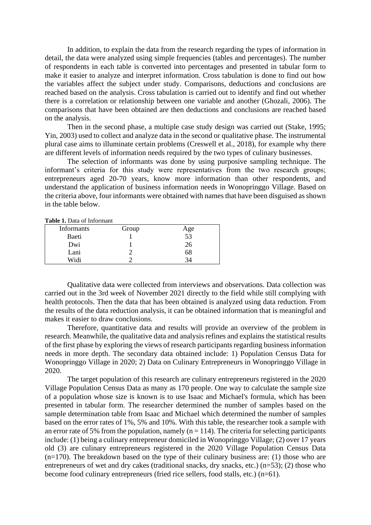In addition, to explain the data from the research regarding the types of information in detail, the data were analyzed using simple frequencies (tables and percentages). The number of respondents in each table is converted into percentages and presented in tabular form to make it easier to analyze and interpret information. Cross tabulation is done to find out how the variables affect the subject under study. Comparisons, deductions and conclusions are reached based on the analysis. Cross tabulation is carried out to identify and find out whether there is a correlation or relationship between one variable and another (Ghozali, 2006). The comparisons that have been obtained are then deductions and conclusions are reached based on the analysis.

Then in the second phase, a multiple case study design was carried out (Stake, 1995; Yin, 2003) used to collect and analyze data in the second or qualitative phase. The instrumental plural case aims to illuminate certain problems (Creswell et al., 2018), for example why there are different levels of information needs required by the two types of culinary businesses.

The selection of informants was done by using purposive sampling technique. The informant's criteria for this study were representatives from the two research groups; entrepreneurs aged 20-70 years, know more information than other respondents, and understand the application of business information needs in Wonopringgo Village. Based on the criteria above, four informants were obtained with names that have been disguised as shown in the table below.

**Table 1.** Data of Informant

| <b>Informants</b> | Group | Age             |
|-------------------|-------|-----------------|
| Baeti             |       | $\overline{53}$ |
| Dwi               |       | 26              |
| Lani              |       | 68              |
| Widi              |       |                 |

Qualitative data were collected from interviews and observations. Data collection was carried out in the 3rd week of November 2021 directly to the field while still complying with health protocols. Then the data that has been obtained is analyzed using data reduction. From the results of the data reduction analysis, it can be obtained information that is meaningful and makes it easier to draw conclusions.

Therefore, quantitative data and results will provide an overview of the problem in research. Meanwhile, the qualitative data and analysis refines and explains the statistical results of the first phase by exploring the views of research participants regarding business information needs in more depth. The secondary data obtained include: 1) Population Census Data for Wonopringgo Village in 2020; 2) Data on Culinary Entrepreneurs in Wonopringgo Village in 2020.

The target population of this research are culinary entrepreneurs registered in the 2020 Village Population Census Data as many as 170 people. One way to calculate the sample size of a population whose size is known is to use Isaac and Michael's formula, which has been presented in tabular form. The researcher determined the number of samples based on the sample determination table from Isaac and Michael which determined the number of samples based on the error rates of 1%, 5% and 10%. With this table, the researcher took a sample with an error rate of 5% from the population, namely ( $n = 114$ ). The criteria for selecting participants include: (1) being a culinary entrepreneur domiciled in Wonopringgo Village; (2) over 17 years old (3) are culinary entrepreneurs registered in the 2020 Village Population Census Data (n=170). The breakdown based on the type of their culinary business are: (1) those who are entrepreneurs of wet and dry cakes (traditional snacks, dry snacks, etc.) (n=53); (2) those who become food culinary entrepreneurs (fried rice sellers, food stalls, etc.) (n=61).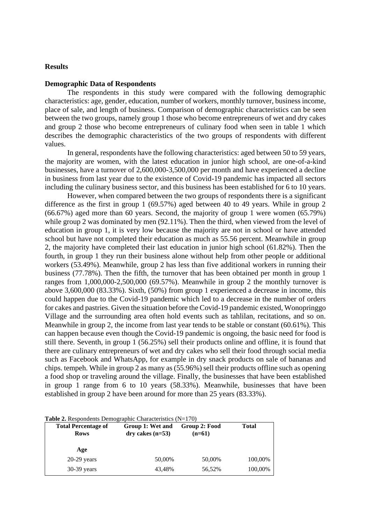#### **Results**

#### **Demographic Data of Respondents**

The respondents in this study were compared with the following demographic characteristics: age, gender, education, number of workers, monthly turnover, business income, place of sale, and length of business. Comparison of demographic characteristics can be seen between the two groups, namely group 1 those who become entrepreneurs of wet and dry cakes and group 2 those who become entrepreneurs of culinary food when seen in table 1 which describes the demographic characteristics of the two groups of respondents with different values.

In general, respondents have the following characteristics: aged between 50 to 59 years, the majority are women, with the latest education in junior high school, are one-of-a-kind businesses, have a turnover of 2,600,000-3,500,000 per month and have experienced a decline in business from last year due to the existence of Covid-19 pandemic has impacted all sectors including the culinary business sector, and this business has been established for 6 to 10 years.

However, when compared between the two groups of respondents there is a significant difference as the first in group 1 (69.57%) aged between 40 to 49 years. While in group 2 (66.67%) aged more than 60 years. Second, the majority of group 1 were women (65.79%) while group 2 was dominated by men (92.11%). Then the third, when viewed from the level of education in group 1, it is very low because the majority are not in school or have attended school but have not completed their education as much as 55.56 percent. Meanwhile in group 2, the majority have completed their last education in junior high school (61.82%). Then the fourth, in group 1 they run their business alone without help from other people or additional workers (53.49%). Meanwhile, group 2 has less than five additional workers in running their business (77.78%). Then the fifth, the turnover that has been obtained per month in group 1 ranges from 1,000,000-2,500,000 (69.57%). Meanwhile in group 2 the monthly turnover is above 3,600,000 (83.33%). Sixth, (50%) from group 1 experienced a decrease in income, this could happen due to the Covid-19 pandemic which led to a decrease in the number of orders for cakes and pastries. Given the situation before the Covid-19 pandemic existed, Wonopringgo Village and the surrounding area often hold events such as tahlilan, recitations, and so on. Meanwhile in group 2, the income from last year tends to be stable or constant (60.61%). This can happen because even though the Covid-19 pandemic is ongoing, the basic need for food is still there. Seventh, in group 1 (56.25%) sell their products online and offline, it is found that there are culinary entrepreneurs of wet and dry cakes who sell their food through social media such as Facebook and WhatsApp, for example in dry snack products on sale of bananas and chips. tempeh. While in group 2 as many as (55.96%) sell their products offline such as opening a food shop or traveling around the village. Finally, the businesses that have been established in group 1 range from 6 to 10 years (58.33%). Meanwhile, businesses that have been established in group 2 have been around for more than 25 years (83.33%).

| <b>Total Percentage of</b><br><b>Rows</b> | Group 1: Wet and<br>$dry$ cakes $(n=53)$ | Group 2: Food<br>$(n=61)$ | <b>Total</b> |
|-------------------------------------------|------------------------------------------|---------------------------|--------------|
| Age                                       |                                          |                           |              |
| $20-29$ years                             | 50,00%                                   | 50,00%                    | 100,00%      |
| $30-39$ years                             | 43,48%                                   | 56,52%                    | 100,00%      |

**Table 2.** Respondents Demographic Characteristics (N=170)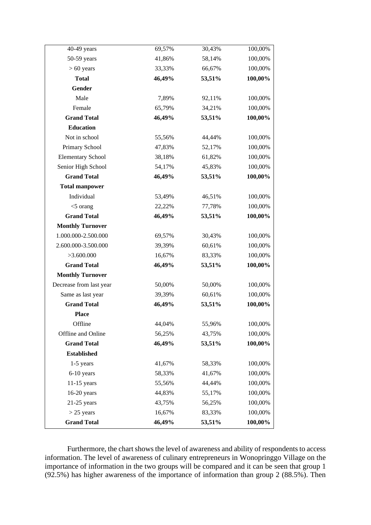| 40-49 years              | 69,57% | 30,43% | 100,00% |
|--------------------------|--------|--------|---------|
| 50-59 years              | 41,86% | 58,14% | 100,00% |
| $> 60$ years             | 33,33% | 66,67% | 100,00% |
| <b>Total</b>             | 46,49% | 53,51% | 100,00% |
| Gender                   |        |        |         |
| Male                     | 7,89%  | 92,11% | 100,00% |
| Female                   | 65,79% | 34,21% | 100,00% |
| <b>Grand Total</b>       | 46,49% | 53,51% | 100,00% |
| <b>Education</b>         |        |        |         |
| Not in school            | 55,56% | 44,44% | 100,00% |
| Primary School           | 47,83% | 52,17% | 100,00% |
| <b>Elementary School</b> | 38,18% | 61,82% | 100,00% |
| Senior High School       | 54,17% | 45,83% | 100,00% |
| <b>Grand Total</b>       | 46,49% | 53,51% | 100,00% |
| <b>Total manpower</b>    |        |        |         |
| Individual               | 53,49% | 46,51% | 100,00% |
| $<$ 5 orang              | 22,22% | 77,78% | 100,00% |
| <b>Grand Total</b>       | 46,49% | 53,51% | 100,00% |
| <b>Monthly Turnover</b>  |        |        |         |
| 1.000.000-2.500.000      | 69,57% | 30,43% | 100,00% |
| 2.600.000-3.500.000      | 39,39% | 60,61% | 100,00% |
| >3.600.000               | 16,67% | 83,33% | 100,00% |
| <b>Grand Total</b>       | 46,49% | 53,51% | 100,00% |
| <b>Monthly Turnover</b>  |        |        |         |
| Decrease from last year  | 50,00% | 50,00% | 100,00% |
| Same as last year        | 39,39% | 60,61% | 100,00% |
| <b>Grand Total</b>       | 46,49% | 53,51% | 100,00% |
| <b>Place</b>             |        |        |         |
| Offline                  | 44,04% | 55,96% | 100,00% |
| Offline and Online       | 56,25% | 43,75% | 100,00% |
| <b>Grand Total</b>       | 46,49% | 53,51% | 100,00% |
| <b>Established</b>       |        |        |         |
| $1-5$ years              | 41,67% | 58,33% | 100,00% |
| 6-10 years               | 58,33% | 41,67% | 100,00% |
| $11-15$ years            | 55,56% | 44,44% | 100,00% |
| $16-20$ years            | 44,83% | 55,17% | 100,00% |
| $21-25$ years            | 43,75% | 56,25% | 100,00% |
| $>$ 25 years             | 16,67% | 83,33% | 100,00% |
| <b>Grand Total</b>       | 46,49% | 53,51% | 100,00% |

Furthermore, the chart shows the level of awareness and ability of respondents to access information. The level of awareness of culinary entrepreneurs in Wonopringgo Village on the importance of information in the two groups will be compared and it can be seen that group 1  $(92.5%)$  has higher awareness of the importance of information than group 2 (88.5%). Then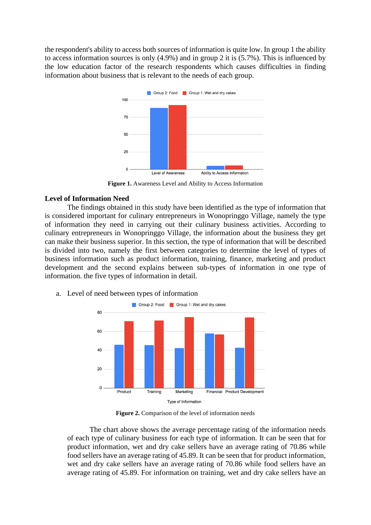the respondent's ability to access both sources of information is quite low. In group 1 the ability to access information sources is only (4.9%) and in group 2 it is (5.7%). This is influenced by the low education factor of the research respondents which causes difficulties in finding information about business that is relevant to the needs of each group.



**Figure 1.** Awareness Level and Ability to Access Information

#### **Level of Information Need**

The findings obtained in this study have been identified as the type of information that is considered important for culinary entrepreneurs in Wonopringgo Village, namely the type of information they need in carrying out their culinary business activities. According to culinary entrepreneurs in Wonopringgo Village, the information about the business they get can make their business superior. In this section, the type of information that will be described is divided into two, namely the first between categories to determine the level of types of business information such as product information, training, finance, marketing and product development and the second explains between sub-types of information in one type of information. the five types of information in detail.



a. Level of need between types of information

**Figure 2.** Comparison of the level of information needs

The chart above shows the average percentage rating of the information needs of each type of culinary business for each type of information. It can be seen that for product information, wet and dry cake sellers have an average rating of 70.86 while food sellers have an average rating of 45.89. It can be seen that for product information, wet and dry cake sellers have an average rating of 70.86 while food sellers have an average rating of 45.89. For information on training, wet and dry cake sellers have an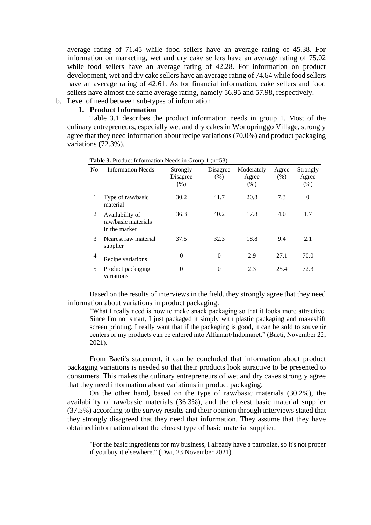average rating of 71.45 while food sellers have an average rating of 45.38. For information on marketing, wet and dry cake sellers have an average rating of 75.02 while food sellers have an average rating of 42.28. For information on product development, wet and dry cake sellers have an average rating of 74.64 while food sellers have an average rating of 42.61. As for financial information, cake sellers and food sellers have almost the same average rating, namely 56.95 and 57.98, respectively.

## b. Level of need between sub-types of information

### **1. Product Information**

Table 3.1 describes the product information needs in group 1. Most of the culinary entrepreneurs, especially wet and dry cakes in Wonopringgo Village, strongly agree that they need information about recipe variations (70.0%) and product packaging variations (72.3%).

| No.            | <b>Information Needs</b>                                | Strongly<br>Disagree<br>(% ) | Disagree<br>(% ) | Moderately<br>Agree<br>(% ) | Agree<br>(% ) | Strongly<br>Agree<br>(% ) |
|----------------|---------------------------------------------------------|------------------------------|------------------|-----------------------------|---------------|---------------------------|
| 1              | Type of raw/basic<br>material                           | 30.2                         | 41.7             | 20.8                        | 7.3           | $\overline{0}$            |
| 2              | Availability of<br>raw/basic materials<br>in the market | 36.3                         | 40.2             | 17.8                        | 4.0           | 1.7                       |
| 3              | Nearest raw material<br>supplier                        | 37.5                         | 32.3             | 18.8                        | 9.4           | 2.1                       |
| $\overline{4}$ | Recipe variations                                       | $\theta$                     | $\overline{0}$   | 2.9                         | 27.1          | 70.0                      |
| 5              | Product packaging<br>variations                         | 0                            | 0                | 2.3                         | 25.4          | 72.3                      |

**Table 3.** Product Information Needs in Group 1 (n=53)

Based on the results of interviews in the field, they strongly agree that they need information about variations in product packaging.

"What I really need is how to make snack packaging so that it looks more attractive. Since I'm not smart, I just packaged it simply with plastic packaging and makeshift screen printing. I really want that if the packaging is good, it can be sold to souvenir centers or my products can be entered into Alfamart/Indomaret." (Baeti, November 22, 2021).

From Baeti's statement, it can be concluded that information about product packaging variations is needed so that their products look attractive to be presented to consumers. This makes the culinary entrepreneurs of wet and dry cakes strongly agree that they need information about variations in product packaging.

On the other hand, based on the type of raw/basic materials (30.2%), the availability of raw/basic materials (36.3%), and the closest basic material supplier (37.5%) according to the survey results and their opinion through interviews stated that they strongly disagreed that they need that information. They assume that they have obtained information about the closest type of basic material supplier.

"For the basic ingredients for my business, I already have a patronize, so it's not proper if you buy it elsewhere." (Dwi, 23 November 2021).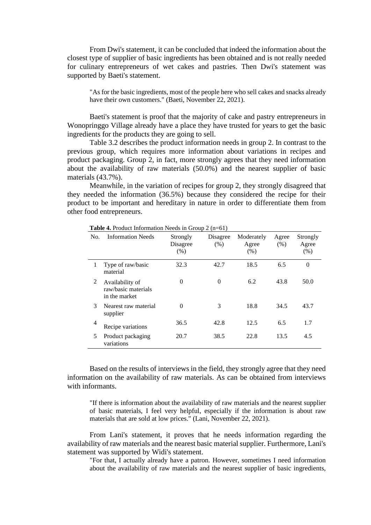From Dwi's statement, it can be concluded that indeed the information about the closest type of supplier of basic ingredients has been obtained and is not really needed for culinary entrepreneurs of wet cakes and pastries. Then Dwi's statement was supported by Baeti's statement.

"As for the basic ingredients, most of the people here who sell cakes and snacks already have their own customers." (Baeti, November 22, 2021).

Baeti's statement is proof that the majority of cake and pastry entrepreneurs in Wonopringgo Village already have a place they have trusted for years to get the basic ingredients for the products they are going to sell.

Table 3.2 describes the product information needs in group 2. In contrast to the previous group, which requires more information about variations in recipes and product packaging. Group 2, in fact, more strongly agrees that they need information about the availability of raw materials (50.0%) and the nearest supplier of basic materials (43.7%).

Meanwhile, in the variation of recipes for group 2, they strongly disagreed that they needed the information (36.5%) because they considered the recipe for their product to be important and hereditary in nature in order to differentiate them from other food entrepreneurs.

| No. | <b>Information Needs</b>                                | Strongly<br>Disagree<br>(% ) | Disagree<br>$(\%)$ | Moderately<br>Agree<br>(% ) | Agree<br>(% ) | Strongly<br>Agree<br>(% ) |
|-----|---------------------------------------------------------|------------------------------|--------------------|-----------------------------|---------------|---------------------------|
| 1   | Type of raw/basic<br>material                           | 32.3                         | 42.7               | 18.5                        | 6.5           | $\overline{0}$            |
| 2   | Availability of<br>raw/basic materials<br>in the market | $\theta$                     | $\theta$           | 6.2                         | 43.8          | 50.0                      |
| 3   | Nearest raw material<br>supplier                        | $\theta$                     | 3                  | 18.8                        | 34.5          | 43.7                      |
| 4   | Recipe variations                                       | 36.5                         | 42.8               | 12.5                        | 6.5           | 1.7                       |
| 5   | Product packaging<br>variations                         | 20.7                         | 38.5               | 22.8                        | 13.5          | 4.5                       |

**Table 4.** Product Information Needs in Group 2 (n=61)

Based on the results of interviews in the field, they strongly agree that they need information on the availability of raw materials. As can be obtained from interviews with informants.

"If there is information about the availability of raw materials and the nearest supplier of basic materials, I feel very helpful, especially if the information is about raw materials that are sold at low prices." (Lani, November 22, 2021).

From Lani's statement, it proves that he needs information regarding the availability of raw materials and the nearest basic material supplier. Furthermore, Lani's statement was supported by Widi's statement.

"For that, I actually already have a patron. However, sometimes I need information about the availability of raw materials and the nearest supplier of basic ingredients,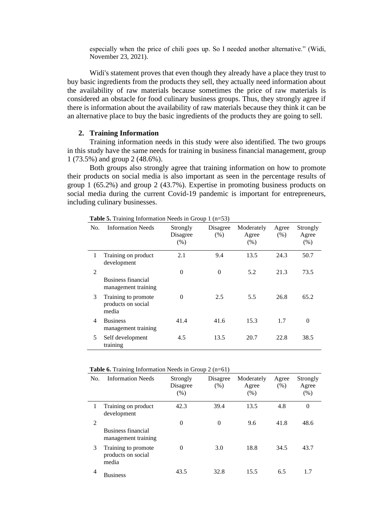especially when the price of chili goes up. So I needed another alternative." (Widi, November 23, 2021).

Widi's statement proves that even though they already have a place they trust to buy basic ingredients from the products they sell, they actually need information about the availability of raw materials because sometimes the price of raw materials is considered an obstacle for food culinary business groups. Thus, they strongly agree if there is information about the availability of raw materials because they think it can be an alternative place to buy the basic ingredients of the products they are going to sell.

#### **2. Training Information**

Training information needs in this study were also identified. The two groups in this study have the same needs for training in business financial management, group 1 (73.5%) and group 2 (48.6%).

Both groups also strongly agree that training information on how to promote their products on social media is also important as seen in the percentage results of group 1 (65.2%) and group 2 (43.7%). Expertise in promoting business products on social media during the current Covid-19 pandemic is important for entrepreneurs, including culinary businesses.

| No. | <b>Information Needs</b>                           | Strongly<br>Disagree<br>(% ) | Disagree<br>(% ) | Moderately<br>Agree<br>(% ) | Agree<br>(% ) | Strongly<br>Agree<br>(% ) |
|-----|----------------------------------------------------|------------------------------|------------------|-----------------------------|---------------|---------------------------|
| 1   | Training on product<br>development                 | 2.1                          | 9.4              | 13.5                        | 24.3          | 50.7                      |
| 2   | Business financial<br>management training          | $\theta$                     | $\theta$         | 5.2                         | 21.3          | 73.5                      |
| 3   | Training to promote<br>products on social<br>media | $\theta$                     | 2.5              | 5.5                         | 26.8          | 65.2                      |
| 4   | <b>Business</b><br>management training             | 41.4                         | 41.6             | 15.3                        | 1.7           | $\theta$                  |
| 5   | Self development<br>training                       | 4.5                          | 13.5             | 20.7                        | 22.8          | 38.5                      |

**Table 5.** Training Information Needs in Group 1 (n=53)

| <b>Table 6.</b> Training Information Needs in Group $2$ (n=61) |  |  |  |  |
|----------------------------------------------------------------|--|--|--|--|
|----------------------------------------------------------------|--|--|--|--|

| No. | <b>Information Needs</b>                           | Strongly<br>Disagree<br>(%) | Disagree<br>(% ) | Moderately<br>Agree<br>(% ) | Agree<br>(% ) | Strongly<br>Agree<br>(% ) |
|-----|----------------------------------------------------|-----------------------------|------------------|-----------------------------|---------------|---------------------------|
| 1   | Training on product<br>development                 | 42.3                        | 39.4             | 13.5                        | 4.8           | $\overline{0}$            |
| 2   | Business financial<br>management training          | $\theta$                    | $\theta$         | 9.6                         | 41.8          | 48.6                      |
| 3   | Training to promote<br>products on social<br>media | $\theta$                    | 3.0              | 18.8                        | 34.5          | 43.7                      |
| 4   | <b>Business</b>                                    | 43.5                        | 32.8             | 15.5                        | 6.5           | 1.7                       |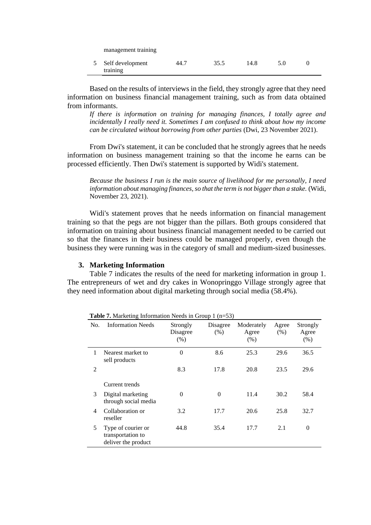| management training          |      |      |      |  |
|------------------------------|------|------|------|--|
| Self development<br>training | 44.7 | 35.5 | 14.8 |  |

Based on the results of interviews in the field, they strongly agree that they need information on business financial management training, such as from data obtained from informants.

*If there is information on training for managing finances, I totally agree and incidentally I really need it. Sometimes I am confused to think about how my income can be circulated without borrowing from other parties* (Dwi, 23 November 2021).

From Dwi's statement, it can be concluded that he strongly agrees that he needs information on business management training so that the income he earns can be processed efficiently. Then Dwi's statement is supported by Widi's statement.

*Because the business I run is the main source of livelihood for me personally, I need information about managing finances, so that the term is not bigger than a stake.* (Widi, November 23, 2021).

Widi's statement proves that he needs information on financial management training so that the pegs are not bigger than the pillars. Both groups considered that information on training about business financial management needed to be carried out so that the finances in their business could be managed properly, even though the business they were running was in the category of small and medium-sized businesses.

#### **3. Marketing Information**

Table 7 indicates the results of the need for marketing information in group 1. The entrepreneurs of wet and dry cakes in Wonopringgo Village strongly agree that they need information about digital marketing through social media (58.4%).

| No. | <b>Information Needs</b>                                       | Strongly<br>Disagree<br>(% ) | Disagree<br>(% ) | Moderately<br>Agree<br>(% ) | Agree<br>(% ) | Strongly<br>Agree<br>(% ) |
|-----|----------------------------------------------------------------|------------------------------|------------------|-----------------------------|---------------|---------------------------|
| 1   | Nearest market to<br>sell products                             | $\overline{0}$               | 8.6              | 25.3                        | 29.6          | 36.5                      |
| 2   |                                                                | 8.3                          | 17.8             | 20.8                        | 23.5          | 29.6                      |
|     | Current trends                                                 |                              |                  |                             |               |                           |
| 3   | Digital marketing<br>through social media                      | $\theta$                     | $\Omega$         | 11.4                        | 30.2          | 58.4                      |
| 4   | Collaboration or<br>reseller                                   | 3.2                          | 17.7             | 20.6                        | 25.8          | 32.7                      |
| 5   | Type of courier or<br>transportation to<br>deliver the product | 44.8                         | 35.4             | 17.7                        | 2.1           | 0                         |

**Table 7.** Marketing Information Needs in Group 1 (n=53)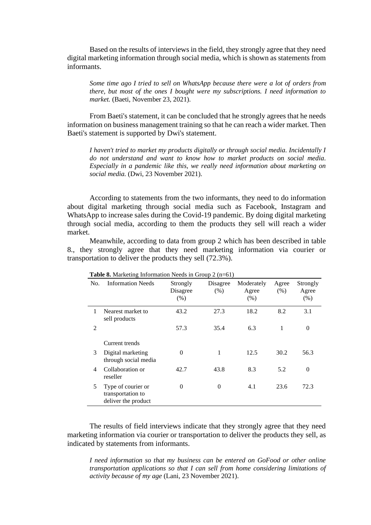Based on the results of interviews in the field, they strongly agree that they need digital marketing information through social media, which is shown as statements from informants.

*Some time ago I tried to sell on WhatsApp because there were a lot of orders from there, but most of the ones I bought were my subscriptions. I need information to market.* (Baeti, November 23, 2021).

From Baeti's statement, it can be concluded that he strongly agrees that he needs information on business management training so that he can reach a wider market. Then Baeti's statement is supported by Dwi's statement.

*I haven't tried to market my products digitally or through social media. Incidentally I do not understand and want to know how to market products on social media. Especially in a pandemic like this, we really need information about marketing on social media.* (Dwi, 23 November 2021).

According to statements from the two informants, they need to do information about digital marketing through social media such as Facebook, Instagram and WhatsApp to increase sales during the Covid-19 pandemic. By doing digital marketing through social media, according to them the products they sell will reach a wider market.

Meanwhile, according to data from group 2 which has been described in table 8., they strongly agree that they need marketing information via courier or transportation to deliver the products they sell (72.3%).

| No.            | <b>Information Needs</b>                                       | Strongly<br>Disagree<br>(% ) | Disagree<br>(% ) | Moderately<br>Agree<br>(% ) | Agree<br>(% ) | Strongly<br>Agree<br>(% ) |
|----------------|----------------------------------------------------------------|------------------------------|------------------|-----------------------------|---------------|---------------------------|
| 1              | Nearest market to<br>sell products                             | 43.2                         | 27.3             | 18.2                        | 8.2           | 3.1                       |
| $\overline{2}$ |                                                                | 57.3                         | 35.4             | 6.3                         | 1             | $\boldsymbol{0}$          |
|                | Current trends                                                 |                              |                  |                             |               |                           |
| 3              | Digital marketing<br>through social media                      | $\theta$                     | 1                | 12.5                        | 30.2          | 56.3                      |
| 4              | Collaboration or<br>reseller                                   | 42.7                         | 43.8             | 8.3                         | 5.2           | $\theta$                  |
| 5              | Type of courier or<br>transportation to<br>deliver the product | 0                            | 0                | 4.1                         | 23.6          | 72.3                      |

**Table 8.** Marketing Information Needs in Group 2 (n=61)

The results of field interviews indicate that they strongly agree that they need marketing information via courier or transportation to deliver the products they sell, as indicated by statements from informants.

*I need information so that my business can be entered on GoFood or other online transportation applications so that I can sell from home considering limitations of activity because of my age* (Lani, 23 November 2021).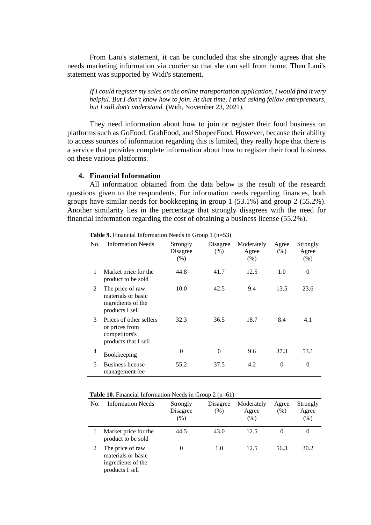From Lani's statement, it can be concluded that she strongly agrees that she needs marketing information via courier so that she can sell from home. Then Lani's statement was supported by Widi's statement.

*If I could register my sales on the online transportation application, I would find it very helpful. But I don't know how to join. At that time, I tried asking fellow entrepreneurs, but I still don't understand.* (Widi, November 23, 2021).

They need information about how to join or register their food business on platforms such as GoFood, GrabFood, and ShopeeFood. However, because their ability to access sources of information regarding this is limited, they really hope that there is a service that provides complete information about how to register their food business on these various platforms.

#### **4. Financial Information**

All information obtained from the data below is the result of the research questions given to the respondents. For information needs regarding finances, both groups have similar needs for bookkeeping in group 1 (53.1%) and group 2 (55.2%). Another similarity lies in the percentage that strongly disagrees with the need for financial information regarding the cost of obtaining a business license (55.2%).

| No. | <b>Information Needs</b>                                                           | Strongly<br>Disagree<br>(% ) | Disagree<br>(% ) | Moderately<br>Agree<br>(% ) | Agree<br>(% ) | Strongly<br>Agree<br>(% ) |
|-----|------------------------------------------------------------------------------------|------------------------------|------------------|-----------------------------|---------------|---------------------------|
| 1   | Market price for the<br>product to be sold                                         | 44.8                         | 41.7             | 12.5                        | 1.0           | $\theta$                  |
| 2   | The price of raw<br>materials or basic<br>ingredients of the<br>products I sell    | 10.0                         | 42.5             | 9.4                         | 13.5          | 23.6                      |
| 3   | Prices of other sellers<br>or prices from<br>competitors's<br>products that I sell | 32.3                         | 36.5             | 18.7                        | 8.4           | 4.1                       |
| 4   | Bookkeeping                                                                        | $\theta$                     | $\theta$         | 9.6                         | 37.3          | 53.1                      |
| 5   | Business license<br>management fee                                                 | 55.2                         | 37.5             | 4.2                         | $\theta$      | $\theta$                  |

**Table 9.** Financial Information Needs in Group 1 (n=53)

| <b>Table 10.</b> Financial Information Needs in Group $2$ (n=61) |  |
|------------------------------------------------------------------|--|
|------------------------------------------------------------------|--|

| No. | <b>Information Needs</b>                                                        | Strongly<br>Disagree<br>(%) | Disagree<br>(% ) | Moderately<br>Agree<br>(%) | Agree<br>$(\% )$ | Strongly<br>Agree<br>$(\% )$ |
|-----|---------------------------------------------------------------------------------|-----------------------------|------------------|----------------------------|------------------|------------------------------|
|     | Market price for the<br>product to be sold                                      | 44.5                        | 43.0             | 12.5                       | $\theta$         | 0                            |
|     | The price of raw<br>materials or basic<br>ingredients of the<br>products I sell |                             | 1.0              | 12.5                       | 56.3             | 30.2                         |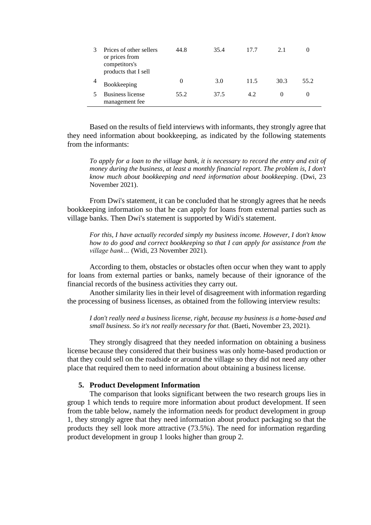| Prices of other sellers<br>or prices from<br>competitors's<br>products that I sell | 44.8     | 35.4 | 17.7 | 2.1  |      |
|------------------------------------------------------------------------------------|----------|------|------|------|------|
| Bookkeeping                                                                        | $\theta$ | 3.0  | 11.5 | 30.3 | 55.2 |
| <b>Business license</b><br>management fee                                          | 55.2     | 37.5 | 42   |      |      |

Based on the results of field interviews with informants, they strongly agree that they need information about bookkeeping, as indicated by the following statements from the informants:

*To apply for a loan to the village bank, it is necessary to record the entry and exit of money during the business, at least a monthly financial report. The problem is, I don't know much about bookkeeping and need information about bookkeeping*. (Dwi, 23 November 2021).

From Dwi's statement, it can be concluded that he strongly agrees that he needs bookkeeping information so that he can apply for loans from external parties such as village banks. Then Dwi's statement is supported by Widi's statement.

*For this, I have actually recorded simply my business income. However, I don't know how to do good and correct bookkeeping so that I can apply for assistance from the village bank…* (Widi, 23 November 2021).

According to them, obstacles or obstacles often occur when they want to apply for loans from external parties or banks, namely because of their ignorance of the financial records of the business activities they carry out.

Another similarity lies in their level of disagreement with information regarding the processing of business licenses, as obtained from the following interview results:

*I don't really need a business license, right, because my business is a home-based and small business. So it's not really necessary for that.* (Baeti, November 23, 2021).

They strongly disagreed that they needed information on obtaining a business license because they considered that their business was only home-based production or that they could sell on the roadside or around the village so they did not need any other place that required them to need information about obtaining a business license.

#### **5. Product Development Information**

The comparison that looks significant between the two research groups lies in group 1 which tends to require more information about product development. If seen from the table below, namely the information needs for product development in group 1, they strongly agree that they need information about product packaging so that the products they sell look more attractive (73.5%). The need for information regarding product development in group 1 looks higher than group 2.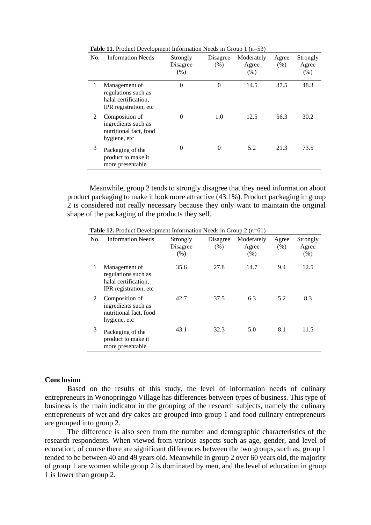| No. | <b>Information Needs</b>                                                              | Strongly<br>Disagree<br>(% ) | Disagree<br>(% ) | Moderately<br>Agree<br>(% ) | Agree<br>(% ) | Strongly<br>Agree<br>(% ) |
|-----|---------------------------------------------------------------------------------------|------------------------------|------------------|-----------------------------|---------------|---------------------------|
|     | Management of<br>regulations such as<br>halal certification.<br>IPR registration, etc | $\overline{0}$               | $\overline{0}$   | 14.5                        | 37.5          | 48.3                      |
| 2   | Composition of<br>ingredients such as<br>nutritional fact, food<br>hygiene, etc       | 0                            | 1.0              | 12.5                        | 56.3          | 30.2                      |
| 3   | Packaging of the<br>product to make it<br>more presentable                            | 0                            | 0                | 5.2                         | 21.3          | 73.5                      |

**Table 11.** Product Development Information Needs in Group 1 (n=53)

Meanwhile, group 2 tends to strongly disagree that they need information about product packaging to make it look more attractive (43.1%). Product packaging in group 2 is considered not really necessary because they only want to maintain the original shape of the packaging of the products they sell.

| No. | <b>Information Needs</b>                                                               | Strongly<br>Disagree<br>(% ) | Disagree<br>(% ) | Moderately<br>Agree<br>(% ) | Agree<br>(% ) | Strongly<br>Agree<br>(% ) |
|-----|----------------------------------------------------------------------------------------|------------------------------|------------------|-----------------------------|---------------|---------------------------|
|     | Management of<br>regulations such as<br>halal certification.<br>IPR registration, etc. | 35.6                         | 27.8             | 14.7                        | 9.4           | 12.5                      |
| 2   | Composition of<br>ingredients such as<br>nutritional fact, food<br>hygiene, etc        | 42.7                         | 37.5             | 6.3                         | 5.2           | 8.3                       |
| 3   | Packaging of the<br>product to make it<br>more presentable                             | 43.1                         | 32.3             | 5.0                         | 8.1           | 11.5                      |

**Table 12.** Product Development Information Needs in Group 2 (n=61)

#### **Conclusion**

Based on the results of this study, the level of information needs of culinary entrepreneurs in Wonopringgo Village has differences between types of business. This type of business is the main indicator in the grouping of the research subjects, namely the culinary entrepreneurs of wet and dry cakes are grouped into group 1 and food culinary entrepreneurs are grouped into group 2.

The difference is also seen from the number and demographic characteristics of the research respondents. When viewed from various aspects such as age, gender, and level of education, of course there are significant differences between the two groups, such as; group 1 tended to be between 40 and 49 years old. Meanwhile in group 2 over 60 years old, the majority of group 1 are women while group 2 is dominated by men, and the level of education in group 1 is lower than group 2.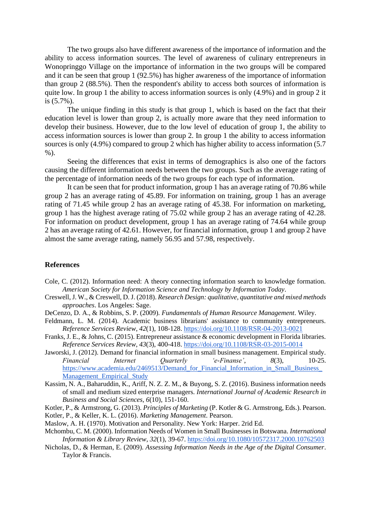The two groups also have different awareness of the importance of information and the ability to access information sources. The level of awareness of culinary entrepreneurs in Wonopringgo Village on the importance of information in the two groups will be compared and it can be seen that group 1 (92.5%) has higher awareness of the importance of information than group 2 (88.5%). Then the respondent's ability to access both sources of information is quite low. In group 1 the ability to access information sources is only (4.9%) and in group 2 it is (5.7%).

The unique finding in this study is that group 1, which is based on the fact that their education level is lower than group 2, is actually more aware that they need information to develop their business. However, due to the low level of education of group 1, the ability to access information sources is lower than group 2. In group 1 the ability to access information sources is only (4.9%) compared to group 2 which has higher ability to access information (5.7 %).

Seeing the differences that exist in terms of demographics is also one of the factors causing the different information needs between the two groups. Such as the average rating of the percentage of information needs of the two groups for each type of information.

It can be seen that for product information, group 1 has an average rating of 70.86 while group 2 has an average rating of 45.89. For information on training, group 1 has an average rating of 71.45 while group 2 has an average rating of 45.38. For information on marketing, group 1 has the highest average rating of 75.02 while group 2 has an average rating of 42.28. For information on product development, group 1 has an average rating of 74.64 while group 2 has an average rating of 42.61. However, for financial information, group 1 and group 2 have almost the same average rating, namely 56.95 and 57.98, respectively.

#### **References**

- Cole, C. (2012). Information need: A theory connecting information search to knowledge formation. *American Society for Information Science and Technology by Information Today*.
- Creswell, J. W., & Creswell, D. J. (2018). *Research Design: qualitative, quantitative and mixed methods approaches*. Los Angeles: Sage.
- DeCenzo, D. A., & Robbins, S. P. (2009). *Fundamentals of Human Resource Management*. Wiley.
- Feldmann, L. M. (2014). Academic business librarians' assistance to community entrepreneurs. *Reference Services Review*, *42*(1), 108-128.<https://doi.org/10.1108/RSR-04-2013-0021>
- Franks, J. E., & Johns, C. (2015). Entrepreneur assistance & economic development in Florida libraries. *Reference Services Review*, *43*(3), 400-418.<https://doi.org/10.1108/RSR-03-2015-0014>
- Jaworski, J. (2012). Demand for financial information in small business management. Empirical study. *Financial Internet Quarterly 'e-Finanse'*, *8*(3), 10-25. [https://www.academia.edu/2469513/Demand\\_for\\_Financial\\_Information\\_in\\_Small\\_Business\\_](https://www.academia.edu/2469513/Demand_for_Financial_Information_in_Small_Business_Management_Empirical_Study) [Management\\_Empirical\\_Study](https://www.academia.edu/2469513/Demand_for_Financial_Information_in_Small_Business_Management_Empirical_Study)
- Kassim, N. A., Baharuddin, K., Ariff, N. Z. Z. M., & Buyong, S. Z. (2016). Business information needs of small and medium sized enterprise managers. *International Journal of Academic Research in Business and Social Sciences*, *6*(10), 151-160.
- Kotler, P., & Armstrong, G. (2013). *Principles of Marketing* (P. Kotler & G. Armstrong, Eds.). Pearson. Kotler, P., & Keller, K. L. (2016). *Marketing Management*. Pearson.
- Maslow, A. H. (1970). Motivation and Personality. New York: Harper. 2rid Ed.
- Mchombu, C. M. (2000). Information Needs of Women in Small Businesses in Botswana. *International Information & Library Review*, *32*(1), 39-67.<https://doi.org/10.1080/10572317.2000.10762503>
- Nicholas, D., & Herman, E. (2009). *Assessing Information Needs in the Age of the Digital Consumer*. Taylor & Francis.